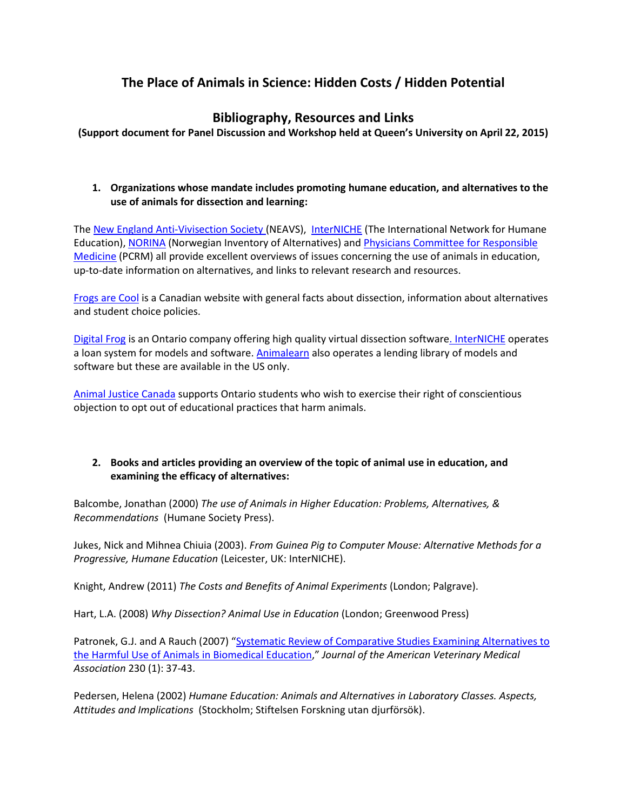# **The Place of Animals in Science: Hidden Costs / Hidden Potential**

## **Bibliography, Resources and Links**

**(Support document for Panel Discussion and Workshop held at Queen's University on April 22, 2015)**

### **1. Organizations whose mandate includes promoting humane education, and alternatives to the use of animals for dissection and learning:**

The [New England Anti-Vivisection Society](http://www.neavs.org/education/overview) (NEAVS), [InterNICHE](http://www.interniche.org/) (The International Network for Humane Education), [NORINA](http://oslovet.norecopa.no/fag.aspx?fag=57&mnu=databases_1) (Norwegian Inventory of Alternatives) and [Physicians Committee](http://www.pcrm.org/research/edtraining/) for Responsible [Medicine](http://www.pcrm.org/research/edtraining/) (PCRM) all provide excellent overviews of issues concerning the use of animals in education, up-to-date information on alternatives, and links to relevant research and resources.

[Frogs are Cool](http://www.frogsarecool.com/) is a Canadian website with general facts about dissection, information about alternatives and student choice policies.

[Digital Frog](http://www.digitalfrog.com/) is an Ontario company offering high quality virtual dissection software. [InterNICHE](http://interniche.org/en/loansystem/contents) operates a loan system for models and software. [Animalearn](http://www.animalearn.org/) also operates a lending library of models and software but these are available in the US only.

[Animal Justice Canada](http://animaljustice.ca/campaigns/student-conscientious-objectors/) supports Ontario students who wish to exercise their right of conscientious objection to opt out of educational practices that harm animals.

#### **2. Books and articles providing an overview of the topic of animal use in education, and examining the efficacy of alternatives:**

Balcombe, Jonathan (2000) *The use of Animals in Higher Education: Problems, Alternatives, & Recommendations* (Humane Society Press).

Jukes, Nick and Mihnea Chiuia (2003). *From Guinea Pig to Computer Mouse: Alternative Methods for a Progressive, Humane Education* (Leicester, UK: InterNICHE).

Knight, Andrew (2011) *The Costs and Benefits of Animal Experiments* (London; Palgrave).

Hart, L.A. (2008) *Why Dissection? Animal Use in Education* (London; Greenwood Press)

Patronek, G.J. and A Rauch (2007) "Systematic Review of Comparative Studies Examining Alternatives to [the Harmful Use of Animals in Biomedical Education](http://www.ncbi.nlm.nih.gov/pubmed/17199490)," *Journal of the American Veterinary Medical Association* 230 (1): 37-43.

Pedersen, Helena (2002) *Humane Education: Animals and Alternatives in Laboratory Classes. Aspects, Attitudes and Implications* (Stockholm; Stiftelsen Forskning utan djurförsök).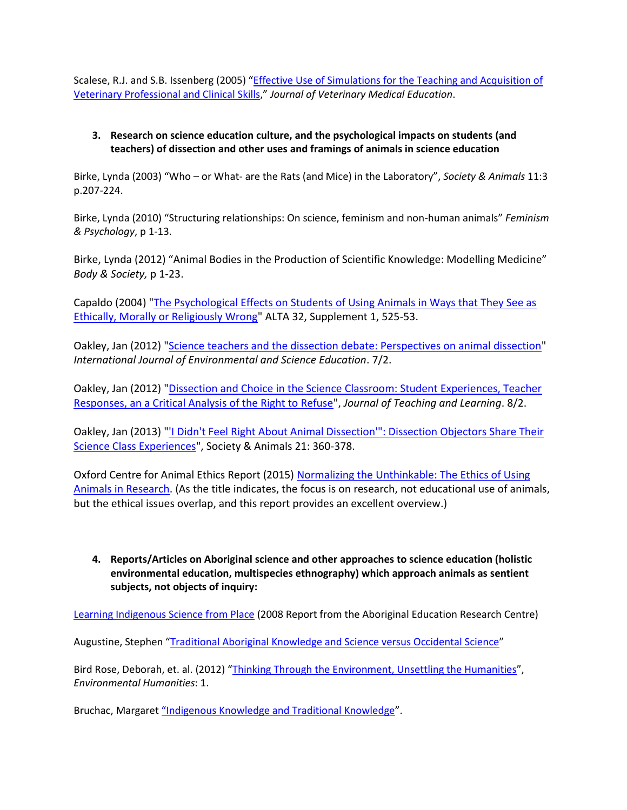Scalese, R.J. and S.B. Issenberg (2005) "[Effective Use of Simulations for the Teaching and Acquisition of](http://www.ncbi.nlm.nih.gov/pubmed/16421829)  [Veterinary Professional and Clinical Skills](http://www.ncbi.nlm.nih.gov/pubmed/16421829)," *Journal of Veterinary Medical Education*.

### **3. Research on science education culture, and the psychological impacts on students (and teachers) of dissection and other uses and framings of animals in science education**

Birke, Lynda (2003) "Who – or What- are the Rats (and Mice) in the Laboratory", *Society & Animals* 11:3 p.207-224.

Birke, Lynda (2010) "Structuring relationships: On science, feminism and non-human animals" *Feminism & Psychology*, p 1-13.

Birke, Lynda (2012) "Animal Bodies in the Production of Scientific Knowledge: Modelling Medicine" *Body & Society,* p 1-23.

Capaldo (2004) ["The Psychological Effects on Students of Using Animals in Ways that They See as](http://www.neavs.org/docs/atla_paperDrCapaldo.pdf)  [Ethically, Morally or Religiously Wrong"](http://www.neavs.org/docs/atla_paperDrCapaldo.pdf) ALTA 32, Supplement 1, 525-53.

Oakley, Jan (2012) ["Science teachers and the dissection debate: Perspectives on animal dissection"](.%20%20http:/www.ijese.com/IJESE_v7n2_Oakley.pdf) *International Journal of Environmental and Science Education*. 7/2.

Oakley, Jan (2012) ["Dissection and Choice in the Science Classroom: Student Experiences, Teacher](http://ojs.uwindsor.ca/ojs/leddy/index.php/JTL/article/viewFile/3349/pdf)  [Responses, an a Critical Analysis of the Right to Refuse"](http://ojs.uwindsor.ca/ojs/leddy/index.php/JTL/article/viewFile/3349/pdf), *Journal of Teaching and Learning*. 8/2.

Oakley, Jan (2013) ["'I Didn't Feel Right About Animal Dissection'": Dissection Objectors Share Their](http://booksandjournals.brillonline.com/content/journals/10.1163/15685306-12341267)  [Science Class Experiences"](http://booksandjournals.brillonline.com/content/journals/10.1163/15685306-12341267), Society & Animals 21: 360-378.

Oxford Centre for Animal Ethics Report (2015) [Normalizing the Unthinkable: The Ethics of Using](http://www.oxfordanimalethics.com/wpcms/wp-content/uploads/Normalising-the-Unthinkable-Report.pdf)  [Animals in Research.](http://www.oxfordanimalethics.com/wpcms/wp-content/uploads/Normalising-the-Unthinkable-Report.pdf) (As the title indicates, the focus is on research, not educational use of animals, but the ethical issues overlap, and this report provides an excellent overview.)

**4. Reports/Articles on Aboriginal science and other approaches to science education (holistic environmental education, multispecies ethnography) which approach animals as sentient subjects, not objects of inquiry:**

[Learning Indigenous Science from Place](http://iportal.usask.ca/docs/Learningindigenousscience.pdf) (2008 Report from the Aboriginal Education Research Centre)

Augustine, Stephen "[Traditional Aboriginal Knowledge and Science versus Occidental Science](http://nativemaps.org/node/1399)"

Bird Rose, Deborah, et. al. (2012) "[Thinking Through the Environment, Unsettling the Humanities](http://environmentalhumanities.org/arch/vol1/EH1.1.pdf)", *Environmental Humanities*: 1.

Bruchac, Margaret ["Indigenous Knowledge and Traditional Knowledge"](http://www.academia.edu/6661070/Indigenous_Knowledge_and_Traditional_Knowledge).